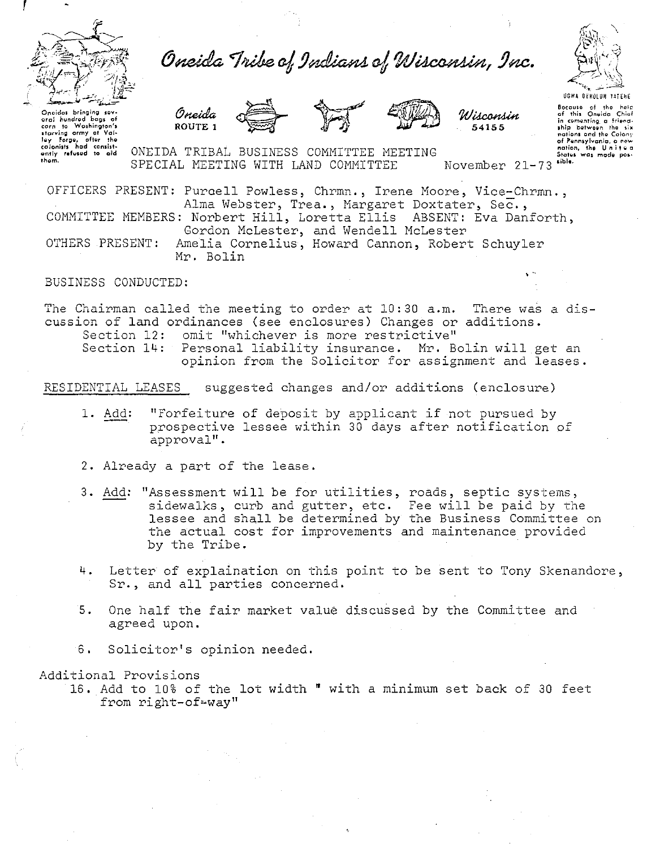

Oneida Tribe of Indians of Wisconsin, Inc.



**UGWA DEHOLUH YATEHE** 

Oncides bringing sev Uneleas pringing several of the several form of Washington's<br>starving army at Valley Forge, after the<br>colonists had consisted ently refused to aid them.

Oneida ROUTE 1





Bocause of the help of this Oneida Chief in comenting a friend-<br>ship between the six notions and the Colony of Pennsylvania, a new<br>nation, the United<br>States was made pos-

ONEIDA TRIBAL BUSINESS COMMITTEE MEETING sible. SPECIAL MEETING WITH LAND COMMITTEE November 21-73

OFFICERS PRESENT: Purcell Powless, Chrmn., Irene Moore, Vice-Chrmn., Alma Webster, Trea., Margaret Doxtater, Sec., COMMITTEE MEMBERS: Norbert Hill, Loretta Ellis ABSENT: Eva Danforth,

Gordon McLester, and Wendell McLester

OTHERS PRESENT: Amelia Cornelius, Howard Cannon, Robert Schuyler Mr. Bolin

BUSINESS CONDUCTED:

The Chairman called the meeting to order at 10:30 a.m. There was a discussion of land ordinances (see enclosures) Changes or additions. omit "whichever is more restrictive" Section 12: Section 14: Personal liability insurance. Mr. Bolin will get an opinion from the Solicitor for assignment and leases.

RESIDENTIAL LEASES suggested changes and/or additions (enclosure)

- 1. Add: "Forfeiture of deposit by applicant if not pursued by prospective lessee within 30 days after notification of approval".
- 2. Already a part of the lease.
- 3. Add: "Assessment will be for utilities, roads, septic systems, sidewalks, curb and gutter, etc. Fee will be paid by the lessee and shall be determined by the Business Committee on the actual cost for improvements and maintenance provided by the Tribe.
- 4. Letter of explaination on this point to be sent to Tony Skenandore, Sr., and all parties concerned.
- One half the fair market value discussed by the Committee and 5. agreed upon.
- 6. Solicitor's opinion needed.

Additional Provisions

16. Add to 10% of the lot width " with a minimum set back of 30 feet from right-of-way"